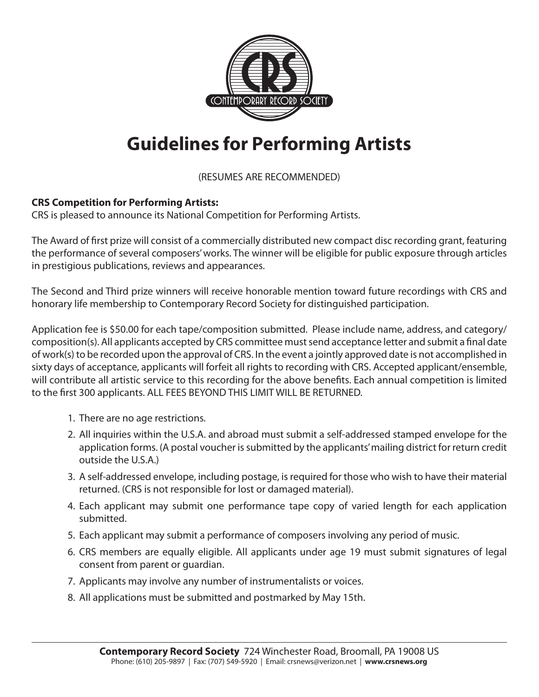

## **Guidelines for Performing Artists**

(RESUMES ARE RECOMMENDED)

## **CRS Competition for Performing Artists:**

CRS is pleased to announce its National Competition for Performing Artists.

The Award of first prize will consist of a commercially distributed new compact disc recording grant, featuring the performance of several composers' works. The winner will be eligible for public exposure through articles in prestigious publications, reviews and appearances.

The Second and Third prize winners will receive honorable mention toward future recordings with CRS and honorary life membership to Contemporary Record Society for distinguished participation.

Application fee is \$50.00 for each tape/composition submitted. Please include name, address, and category/ composition(s). All applicants accepted by CRS committee must send acceptance letter and submit a final date of work(s) to be recorded upon the approval of CRS. In the event a jointly approved date is not accomplished in sixty days of acceptance, applicants will forfeit all rights to recording with CRS. Accepted applicant/ensemble, will contribute all artistic service to this recording for the above benefits. Each annual competition is limited to the first 300 applicants. ALL FEES BEYOND THIS LIMIT WILL BE RETURNED.

- 1. There are no age restrictions.
- 2. All inquiries within the U.S.A. and abroad must submit a self-addressed stamped envelope for the application forms. (A postal voucher is submitted by the applicants' mailing district for return credit outside the U.S.A.)
- 3. A self-addressed envelope, including postage, is required for those who wish to have their material returned. (CRS is not responsible for lost or damaged material).
- 4. Each applicant may submit one performance tape copy of varied length for each application submitted.
- 5. Each applicant may submit a performance of composers involving any period of music.
- 6. CRS members are equally eligible. All applicants under age 19 must submit signatures of legal consent from parent or guardian.
- 7. Applicants may involve any number of instrumentalists or voices.
- 8. All applications must be submitted and postmarked by May 15th.